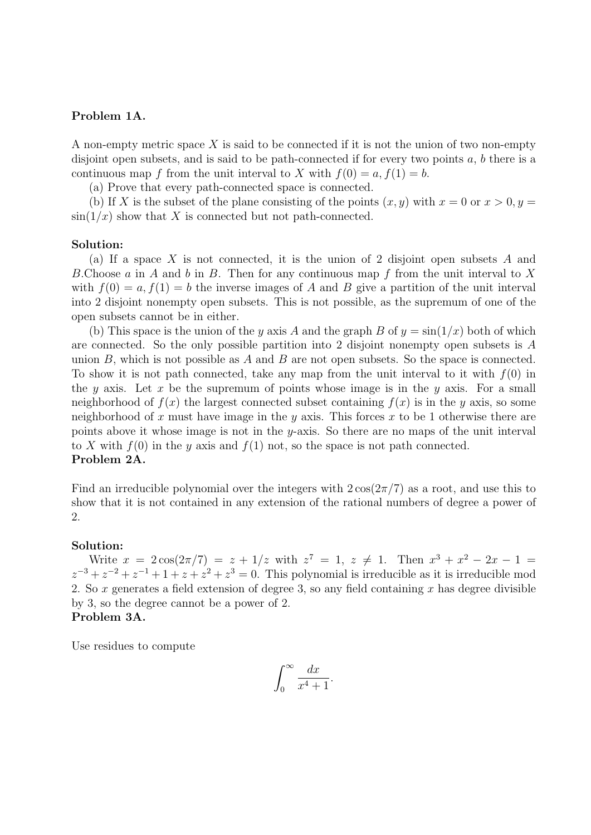# Problem 1A.

A non-empty metric space  $X$  is said to be connected if it is not the union of two non-empty disjoint open subsets, and is said to be path-connected if for every two points  $a, b$  there is a continuous map f from the unit interval to X with  $f(0) = a, f(1) = b$ .

(a) Prove that every path-connected space is connected.

(b) If X is the subset of the plane consisting of the points  $(x, y)$  with  $x = 0$  or  $x > 0, y = 0$  $\sin(1/x)$  show that X is connected but not path-connected.

### Solution:

(a) If a space X is not connected, it is the union of 2 disjoint open subsets A and B.Choose a in A and b in B. Then for any continuous map f from the unit interval to X with  $f(0) = a, f(1) = b$  the inverse images of A and B give a partition of the unit interval into 2 disjoint nonempty open subsets. This is not possible, as the supremum of one of the open subsets cannot be in either.

(b) This space is the union of the y axis A and the graph B of  $y = \sin(1/x)$  both of which are connected. So the only possible partition into 2 disjoint nonempty open subsets is A union  $B$ , which is not possible as  $A$  and  $B$  are not open subsets. So the space is connected. To show it is not path connected, take any map from the unit interval to it with  $f(0)$  in the y axis. Let x be the supremum of points whose image is in the y axis. For a small neighborhood of  $f(x)$  the largest connected subset containing  $f(x)$  is in the y axis, so some neighborhood of x must have image in the y axis. This forces x to be 1 otherwise there are points above it whose image is not in the y-axis. So there are no maps of the unit interval to X with  $f(0)$  in the y axis and  $f(1)$  not, so the space is not path connected. Problem 2A.

Find an irreducible polynomial over the integers with  $2\cos(2\pi/7)$  as a root, and use this to show that it is not contained in any extension of the rational numbers of degree a power of 2.

### Solution:

Write  $x = 2\cos(2\pi/7) = z + 1/z$  with  $z^7 = 1$ ,  $z \neq 1$ . Then  $x^3 + x^2 - 2x - 1 =$  $z^{-3} + z^{-2} + z^{-1} + 1 + z + z^{2} + z^{3} = 0$ . This polynomial is irreducible as it is irreducible mod 2. So x generates a field extension of degree 3, so any field containing x has degree divisible by 3, so the degree cannot be a power of 2. Problem 3A.

Use residues to compute

$$
\int_0^\infty \frac{dx}{x^4 + 1}.
$$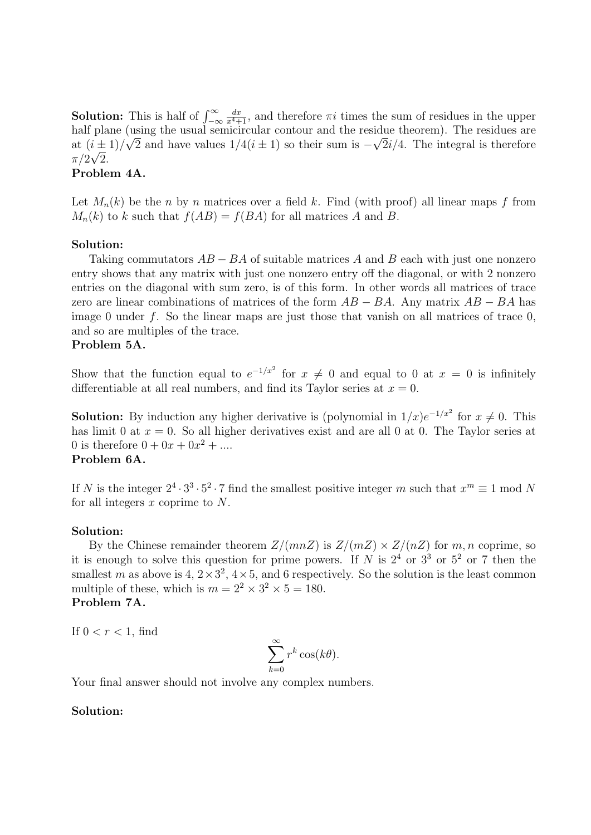**Solution:** This is half of  $\int_{-\infty}^{\infty}$  $\frac{dx}{x^4+1}$ , and therefore  $\pi i$  times the sum of residues in the upper half plane (using the usual semicircular contour and the residue theorem). The residues are at  $(i \pm 1)/\sqrt{2}$  and have values  $1/4(i \pm 1)$  so their sum is  $-\sqrt{2i/4}$ . The integral is therefore  $\pi/2\sqrt{2}$ .

# Problem 4A.

Let  $M_n(k)$  be the n by n matrices over a field k. Find (with proof) all linear maps f from  $M_n(k)$  to k such that  $f(AB) = f(BA)$  for all matrices A and B.

# Solution:

Taking commutators  $AB - BA$  of suitable matrices A and B each with just one nonzero entry shows that any matrix with just one nonzero entry off the diagonal, or with 2 nonzero entries on the diagonal with sum zero, is of this form. In other words all matrices of trace zero are linear combinations of matrices of the form  $AB - BA$ . Any matrix  $AB - BA$  has image 0 under f. So the linear maps are just those that vanish on all matrices of trace  $0$ , and so are multiples of the trace.

# Problem 5A.

Show that the function equal to  $e^{-1/x^2}$  for  $x \neq 0$  and equal to 0 at  $x = 0$  is infinitely differentiable at all real numbers, and find its Taylor series at  $x = 0$ .

**Solution:** By induction any higher derivative is (polynomial in  $1/x$ ) $e^{-1/x^2}$  for  $x \neq 0$ . This has limit 0 at  $x = 0$ . So all higher derivatives exist and are all 0 at 0. The Taylor series at 0 is therefore  $0 + 0x + 0x^2 + ...$ 

# Problem 6A.

If N is the integer  $2^4 \cdot 3^3 \cdot 5^2 \cdot 7$  find the smallest positive integer m such that  $x^m \equiv 1 \mod N$ for all integers  $x$  coprime to  $N$ .

# Solution:

By the Chinese remainder theorem  $Z/(mnZ)$  is  $Z/(mZ) \times Z/(nZ)$  for  $m, n$  coprime, so it is enough to solve this question for prime powers. If N is  $2^4$  or  $3^3$  or  $5^2$  or 7 then the smallest m as above is  $4, 2 \times 3^2, 4 \times 5$ , and 6 respectively. So the solution is the least common multiple of these, which is  $m = 2^2 \times 3^2 \times 5 = 180$ . Problem 7A.

If  $0 < r < 1$ , find

$$
\sum_{k=0}^{\infty} r^k \cos(k\theta).
$$

Your final answer should not involve any complex numbers.

# Solution: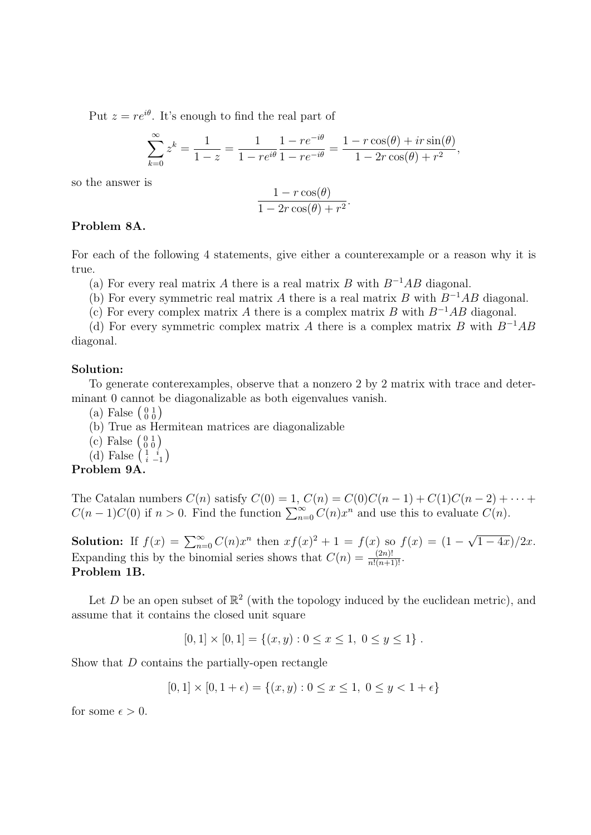Put  $z = re^{i\theta}$ . It's enough to find the real part of

$$
\sum_{k=0}^{\infty} z^k = \frac{1}{1-z} = \frac{1}{1-re^{i\theta}} \frac{1-re^{-i\theta}}{1-re^{-i\theta}} = \frac{1-r\cos(\theta) + ir\sin(\theta)}{1-2r\cos(\theta) + r^2},
$$

so the answer is

$$
\frac{1 - r \cos(\theta)}{1 - 2r \cos(\theta) + r^2}.
$$

# Problem 8A.

For each of the following 4 statements, give either a counterexample or a reason why it is true.

(a) For every real matrix A there is a real matrix B with  $B^{-1}AB$  diagonal.

(b) For every symmetric real matrix A there is a real matrix B with  $B^{-1}AB$  diagonal.

(c) For every complex matrix A there is a complex matrix B with  $B^{-1}AB$  diagonal.

(d) For every symmetric complex matrix A there is a complex matrix B with  $B^{-1}AB$ diagonal.

### Solution:

To generate conterexamples, observe that a nonzero 2 by 2 matrix with trace and determinant 0 cannot be diagonalizable as both eigenvalues vanish.

- (a) False  $\left(\begin{smallmatrix} 0 & 1 \\ 0 & 0 \end{smallmatrix}\right)$
- (b) True as Hermitean matrices are diagonalizable
- (c) False  $\left(\begin{smallmatrix} 0 & 1 \\ 0 & 0 \end{smallmatrix}\right)$
- (d) False  $\left(\begin{smallmatrix} 1 & i \\ i & -1 \end{smallmatrix}\right)$

### Problem 9A.

The Catalan numbers  $C(n)$  satisfy  $C(0) = 1$ ,  $C(n) = C(0)C(n-1) + C(1)C(n-2) + \cdots$  $C(n-1)C(0)$  if  $n > 0$ . Find the function  $\sum_{n=0}^{\infty} C(n)x^n$  and use this to evaluate  $C(n)$ .

**Solution:** If  $f(x) = \sum_{n=0}^{\infty} C(n)x^n$  then  $xf(x)^2 + 1 = f(x)$  so  $f(x) = (1 -$ √  $(1-4x)/2x$ . Expanding this by the binomial series shows that  $C(n) = \frac{(2n)!}{n!(n+1)!}$ . Problem 1B.

Let D be an open subset of  $\mathbb{R}^2$  (with the topology induced by the euclidean metric), and assume that it contains the closed unit square

$$
[0,1] \times [0,1] = \{(x,y) : 0 \le x \le 1, 0 \le y \le 1\}.
$$

Show that D contains the partially-open rectangle

$$
[0,1] \times [0,1+\epsilon) = \{(x,y): 0 \le x \le 1, 0 \le y < 1+\epsilon\}
$$

for some  $\epsilon > 0$ .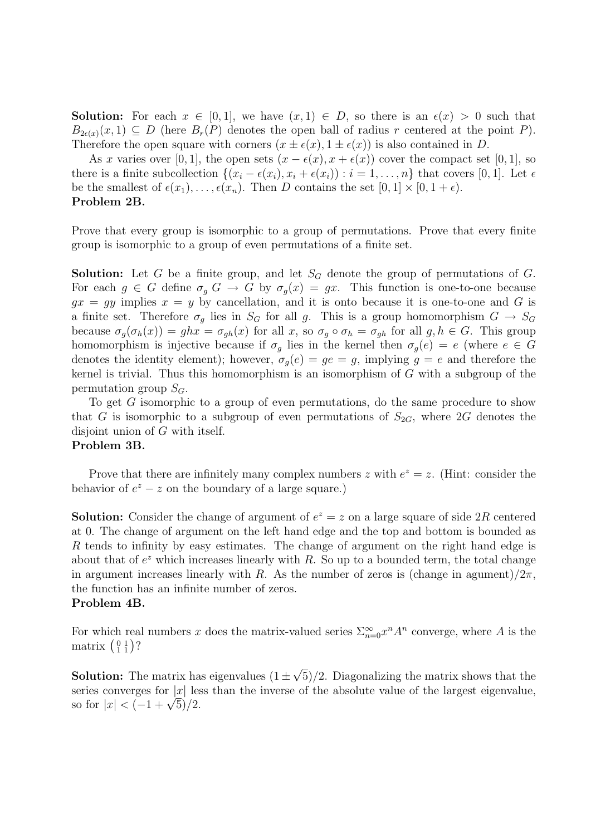**Solution:** For each  $x \in [0, 1]$ , we have  $(x, 1) \in D$ , so there is an  $\epsilon(x) > 0$  such that  $B_{2\epsilon(x)}(x,1) \subseteq D$  (here  $B_r(P)$  denotes the open ball of radius r centered at the point P). Therefore the open square with corners  $(x \pm \epsilon(x), 1 \pm \epsilon(x))$  is also contained in D.

As x varies over [0, 1], the open sets  $(x - \epsilon(x), x + \epsilon(x))$  cover the compact set [0, 1], so there is a finite subcollection  $\{(x_i - \epsilon(x_i), x_i + \epsilon(x_i)) : i = 1, \ldots, n\}$  that covers [0, 1]. Let  $\epsilon$ be the smallest of  $\epsilon(x_1), \ldots, \epsilon(x_n)$ . Then D contains the set  $[0, 1] \times [0, 1 + \epsilon)$ . Problem 2B.

Prove that every group is isomorphic to a group of permutations. Prove that every finite group is isomorphic to a group of even permutations of a finite set.

**Solution:** Let G be a finite group, and let  $S_G$  denote the group of permutations of G. For each  $g \in G$  define  $\sigma_g G \to G$  by  $\sigma_g(x) = gx$ . This function is one-to-one because  $gx = gy$  implies  $x = y$  by cancellation, and it is onto because it is one-to-one and G is a finite set. Therefore  $\sigma_g$  lies in  $S_G$  for all g. This is a group homomorphism  $G \to S_G$ because  $\sigma_q(\sigma_h(x)) = ghx = \sigma_{gh}(x)$  for all x, so  $\sigma_q \circ \sigma_h = \sigma_{gh}$  for all  $g, h \in G$ . This group homomorphism is injective because if  $\sigma_q$  lies in the kernel then  $\sigma_q(e) = e$  (where  $e \in G$ denotes the identity element); however,  $\sigma_q(e) = ge = g$ , implying  $g = e$  and therefore the kernel is trivial. Thus this homomorphism is an isomorphism of  $G$  with a subgroup of the permutation group  $S_G$ .

To get G isomorphic to a group of even permutations, do the same procedure to show that G is isomorphic to a subgroup of even permutations of  $S_{2G}$ , where 2G denotes the disjoint union of G with itself.

# Problem 3B.

Prove that there are infinitely many complex numbers z with  $e^z = z$ . (Hint: consider the behavior of  $e^z - z$  on the boundary of a large square.)

**Solution:** Consider the change of argument of  $e^z = z$  on a large square of side 2R centered at 0. The change of argument on the left hand edge and the top and bottom is bounded as R tends to infinity by easy estimates. The change of argument on the right hand edge is about that of  $e^z$  which increases linearly with R. So up to a bounded term, the total change in argument increases linearly with R. As the number of zeros is (change in agument)/ $2\pi$ , the function has an infinite number of zeros.

# Problem 4B.

For which real numbers x does the matrix-valued series  $\sum_{n=0}^{\infty} x^n A^n$  converge, where A is the matrix  $\left(\begin{smallmatrix} 0 & 1 \\ 1 & 1 \end{smallmatrix}\right)$ ?

**Solution:** The matrix has eigenvalues  $(1 \pm$ √ 5)/2. Diagonalizing the matrix shows that the series converges for  $|x|$  less than the inverse of the absolute value of the largest eigenvalue, series converges for  $|x|$  les<br>so for  $|x| < (-1 + \sqrt{5})/2$ .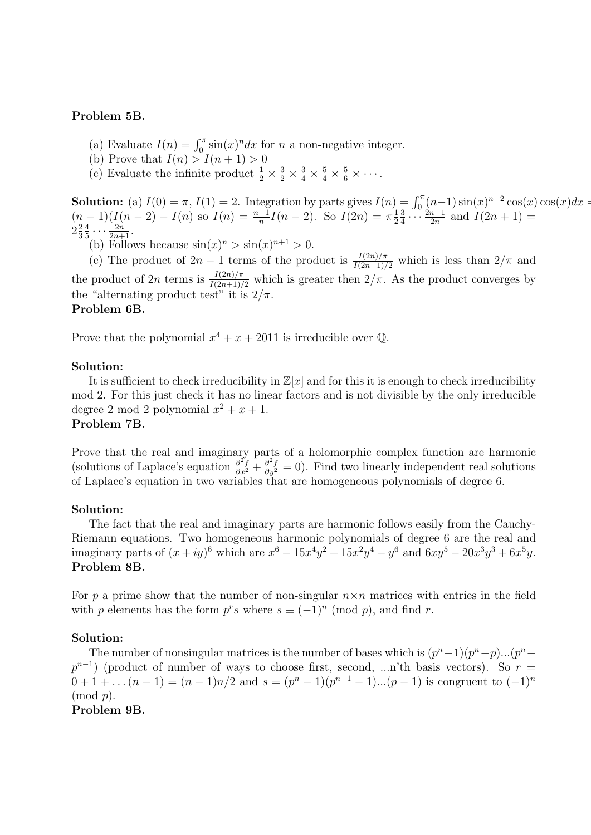# Problem 5B.

- (a) Evaluate  $I(n) = \int_0^{\pi} \sin(x)^n dx$  for *n* a non-negative integer.
- (b) Prove that  $I(n) > I(n+1) > 0$
- (c) Evaluate the infinite product  $\frac{1}{2} \times \frac{3}{2} \times \frac{3}{4} \times \frac{5}{4} \times \frac{5}{6} \times \cdots$ .

**Solution:** (a)  $I(0) = \pi$ ,  $I(1) = 2$ . Integration by parts gives  $I(n) = \int_0^{\pi} (n-1) \sin(x)^{n-2} \cos(x) \cos(x) dx =$  $(n-1)(I(n-2) - I(n)$  so  $I(n) = \frac{n-1}{n}I(n-2)$ . So  $I(2n) = \pi \frac{1}{2}$ 2 3  $rac{3}{4} \cdots \frac{2n-1}{2n}$  $\frac{n-1}{2n}$  and  $I(2n + 1) =$  $2\frac{2}{3}$ 3 4  $\frac{4}{5} \cdots \frac{2n}{2n+1}$ .

(b) Follows because  $\sin(x)^n > \sin(x)^{n+1} > 0$ .

(c) The product of  $2n-1$  terms of the product is  $\frac{I(2n)/\pi}{I(2n-1)/2}$  which is less than  $2/\pi$  and the product of 2n terms is  $\frac{I(2n)/\pi}{I(2n+1)/2}$  which is greater then  $2/\pi$ . As the product converges by the "alternating product test" it is  $2/\pi$ .

# Problem 6B.

Prove that the polynomial  $x^4 + x + 2011$  is irreducible over Q.

# Solution:

It is sufficient to check irreducibility in  $\mathbb{Z}[x]$  and for this it is enough to check irreducibility mod 2. For this just check it has no linear factors and is not divisible by the only irreducible degree 2 mod 2 polynomial  $x^2 + x + 1$ .

# Problem 7B.

Prove that the real and imaginary parts of a holomorphic complex function are harmonic (solutions of Laplace's equation  $\frac{\partial^2 f}{\partial x^2} + \frac{\partial^2 f}{\partial y^2} = 0$ ). Find two linearly independent real solutions of Laplace's equation in two variables that are homogeneous polynomials of degree 6.

### Solution:

The fact that the real and imaginary parts are harmonic follows easily from the Cauchy-Riemann equations. Two homogeneous harmonic polynomials of degree 6 are the real and imaginary parts of  $(x+iy)^6$  which are  $x^6 - 15x^4y^2 + 15x^2y^4 - y^6$  and  $6xy^5 - 20x^3y^3 + 6x^5y$ . Problem 8B.

For p a prime show that the number of non-singular  $n \times n$  matrices with entries in the field with p elements has the form  $p^r s$  where  $s \equiv (-1)^n \pmod{p}$ , and find r.

### Solution:

The number of nonsingular matrices is the number of bases which is  $(p^{n}-1)(p^{n}-p)...(p^{n}-p)$  $p^{n-1}$ ) (product of number of ways to choose first, second, ...n'th basis vectors). So  $r =$  $0+1+\ldots(n-1)=(n-1)n/2$  and  $s=(p^{n}-1)(p^{n-1}-1)\ldots(p-1)$  is congruent to  $(-1)^{n}$  $\pmod{p}$ .

# Problem 9B.